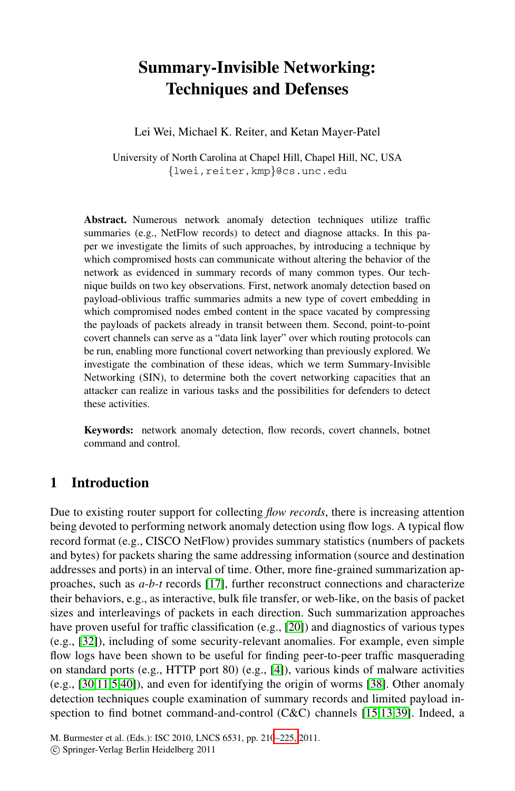# **Summary-Invisible Networking: Techniques and Defenses**

Lei Wei, Michael K. Reiter, and Ketan Mayer-Patel

University of North Carolina at Chapel Hill, Chapel Hill, NC, USA *{*lwei,reiter,kmp*}*@cs.unc.edu

**Abstract.** Numerous network anomaly detection techniques utilize traffic summaries (e.g., NetFlow records) to detect and diagnose attacks. In this paper we investigate the limits of such approaches, by introducing a technique by which compromised hosts can communicate without altering the behavior of the network as evidenced in summary records of many common types. Our technique builds on two key observations. First, network anomaly detection based on payload-oblivious traffic summaries admits a new type of covert embedding in which compromised nodes embed content in the space vacated by compressing the payloads of packets already in transit between them. Second, point-to-point covert channels can serve as a "data link layer" over which routing protocols can be run, enabling more functional covert networking than previously explored. We investigate the combination of these ideas, which we term Summary-Invisible Networking (SIN), to determine both the covert networking capacities that an attacker can realize in various tasks and the possibilities for defenders to detect these activities.

**Keywords:** network anomaly detection, flow records, covert channels, botnet command and control.

# **1 Intro[duc](#page-14-0)tion**

Due to existing router suppo[rt fo](#page-14-1)r collecting *flow records*, there is increasing attention being devoted to performing network anomaly detection using flow logs. A typical flow record format (e.g., CISCO NetFlow) provides summary statistics (numbers of packets and bytes) for packets sha[rin](#page-13-0)g the same addressing information (source and destination addresses and ports) in an interval of time. Ot[her,](#page-15-0) more fine-grained summarization approaches, such as *a-b-t* records [17], further reconstruct connections and characterize their behaviors, e.g., as interactive, bulk file t[ran](#page-14-2)[sfer](#page-14-3)[, or](#page-15-1) web-like, on the basis of packet sizes and interleavings of packets in each direction. Such summarization approaches have proven useful for tra[ffic cl](#page-15-2)assification (e.g., [20]) and diagnostics of various types (e.g., [32]), including of some security-relevant anomalies. For example, even simple flow logs have been shown to be useful for finding peer-to-peer traffic masquerading on standard ports (e.g., HTTP port 80) (e.g., [4]), various kinds of malware activities (e.g., [30,11,5,40]), and even for identifying the origin of worms [38]. Other anomaly detection techniques couple examination of summary records and limited payload inspection to find botnet command-and-control (C&C) channels [15,13,39]. Indeed, a

M. Burmester et al. (Eds.): ISC 2010, LNCS 6531, pp. 210–225, 2011.

<sup>-</sup>c Springer-Verlag Berlin Heidelberg 2011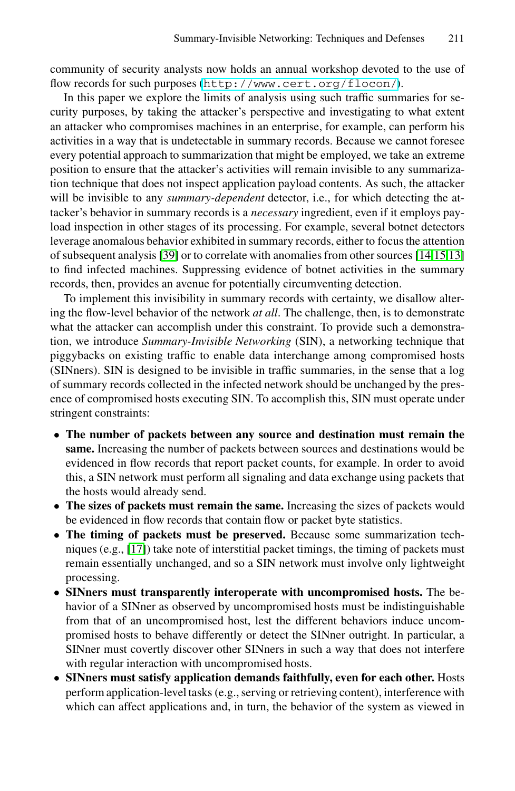community of security analysts now holds an annual workshop devoted to the use of flow records for such purposes (http://www.cert.org/flocon/).

In this paper we explore the limits of analysis using such traffic summaries for security purposes, by taking the attacker's perspective and investigating to what extent an attacker who compromises machines in an enterprise, for example, can perform his ac[tivit](#page-15-1)ies in a way that is undetectable in summary recor[ds.](#page-14-4) [Be](#page-14-2)[cau](#page-14-3)se we cannot foresee every potential approach to summarization that might be employed, we take an extreme position to ensure that the attacker's activities will remain invisible to any summarization technique that does not inspect application payload contents. As such, the attacker will be invisible to any *summary-dependent* detector, i.e., for which detecting the attacker's behavior in summary records is a *necessary* ingredient, even if it employs payload inspection in other stages of its processing. For example, several botnet detectors leverage anomalous behavior exhibited in summary records, either to focus the attention of subsequent analysis [39] or to correlate with anomalies from other sources [14,15,13] to find infected machines. Suppressing evidence of botnet activities in the summary records, then, provides an avenue for potentially circumventing detection.

To implement this invisibility in summary records with certainty, we disallow altering the flow-level behavior of the network *at all*. The challenge, then, is to demonstrate what the attacker can accomplish under this constraint. To provide such a demonstration, we introduce *Summary-Invisible Networking* (SIN), a networking technique that piggybacks on existing traffic to enable data interchange among compromised hosts (SINners). SIN is designed to be invisible in traffic summaries, in the sense that a log of summary records collected in the infected network should be unchanged by the presence of compromised hosts executing SIN. To accomplish this, SIN must operate under stringent constraints:

- **The number of packets between any source and destination must remain the same.** Increasing the number of packets between sources and destinations would be evidenced in flow records that report packet counts, for example. In order to avoid this, a SIN network must perform all signaling and data exchange using packets that the hosts would already send.
- **The sizes of packets must remain the same.** Increasing the sizes of packets would be evidenced in flow records that contain flow or packet byte statistics.
- **The timing of packets must be preserved.** Because some summarization techniques (e.g., [17]) take note of interstitial packet timings, the timing of packets must remain essentially unchanged, and so a SIN network must involve only lightweight processing.
- **SINners must transparently interoperate with uncompromised hosts.** The behavior of a SINner as observed by uncompromised hosts must be indistinguishable from that of an uncompromised host, lest the different behaviors induce uncompromised hosts to behave differently or detect the SINner outright. In particular, a SINner must covertly discover other SINners in such a way that does not interfere with regular interaction with uncompromised hosts.
- **SINners must satisfy application demands faithfully, even for each other.** Hosts perform application-level tasks (e.g., serving or retrieving content), interference with which can affect applications and, in turn, the behavior of the system as viewed in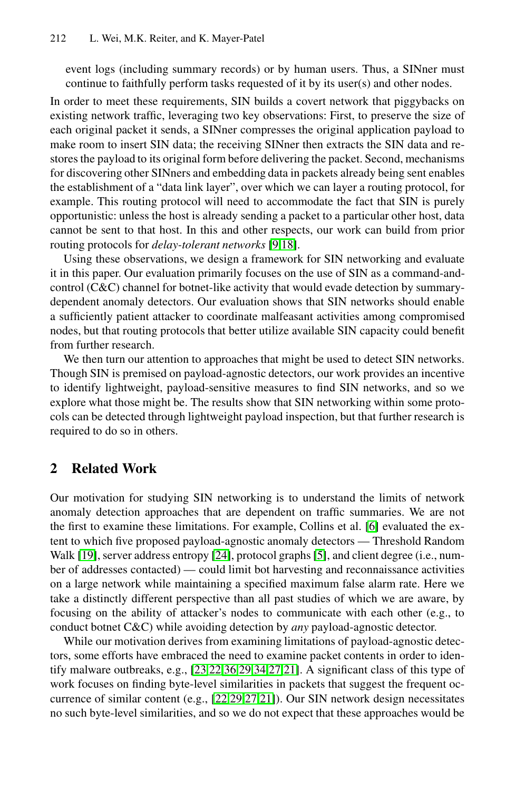event logs (including summary records) or by human users. Thus, a SINner must continue to faithfully perform tasks requested of it by its user(s) and other nodes.

In order to meet these requirements, SIN builds a covert network that piggybacks on existing network traffic, leveraging two key observations: First, to preserve the size of each original packet it se[nd](#page-13-1)[s, a](#page-14-5) SINner compresses the original application payload to make room to insert SIN data; the receiving SINner then extracts the SIN data and restores the payload to its original form before delivering the packet. Second, mechanisms for discovering other SINners and embedding data in packets already being sent enables the establishment of a "data link layer", over which we can layer a routing protocol, for example. This routing protocol will need to accommodate the fact that SIN is purely opportunistic: unless the host is already sending a packet to a particular other host, data cannot be sent to that host. In this and other respects, our work can build from prior routing protocols for *delay-tolerant networks* [9,18].

Using these observations, we design a framework for SIN networking and evaluate it in this paper. Our evaluation primarily focuses on the use of SIN as a command-andcontrol (C&C) channel for botnet-like activity that would evade detection by summarydependent anomaly detectors. Our evaluation shows that SIN networks should enable a sufficiently patient attacker to coordinate malfeasant activities among compromised nodes, but that routing protocols that better utilize available SIN capacity could benefit from further research.

We then turn our attention to approaches that might be used to detect SIN networks. Though SIN is premised on payload-agnostic detectors, our work provides an incentive to identify lightweight, payload-sensitive measures to find SIN networks, and so we explore what those might be. The results show that SIN networking within some protocols can be detected through lightweight payl[oad](#page-13-2) inspection, but that further research is required to do so in others.

## **2 Related Work**

Our motivation for studying SIN networking is to understand the limits of network anomaly detection approaches that are dependent on traffic summaries. We are not the first to examine these limitations. For example, Collins et al. [6] evaluated the extent to which five proposed payload-agnostic anomaly detectors — Threshold Random Walk [19[\], s](#page-14-6)[erv](#page-14-7)[er a](#page-15-3)[dd](#page-14-8)[ress](#page-14-9) [en](#page-14-10)[trop](#page-14-11)y [24], protocol graphs [5], and client degree (i.e., number of addresses contacted) — could limit bot harvesting and reconnaissance activities on a large ne[two](#page-14-7)[rk](#page-14-8) [wh](#page-14-10)[ile](#page-14-11) maintaining a specified maximum false alarm rate. Here we take a distinctly different perspective than all past studies of which we are aware, by focusing on the ability of attacker's nodes to communicate with each other (e.g., to conduct botnet C&C) while avoiding detection by *any* payload-agnostic detector.

While our motivation derives from examining limitations of payload-agnostic detectors, some efforts have embraced the need to examine packet contents in order to identify malware outbreaks, e.g., [23,22,36,29,34,27,21]. A significant class of this type of work focuses on finding byte-level similarities in packets that suggest the frequent occurrence of similar content (e.g., [22,29,27,21]). Our SIN network design necessitates no such byte-level similarities, and so we do not expect that these approaches would be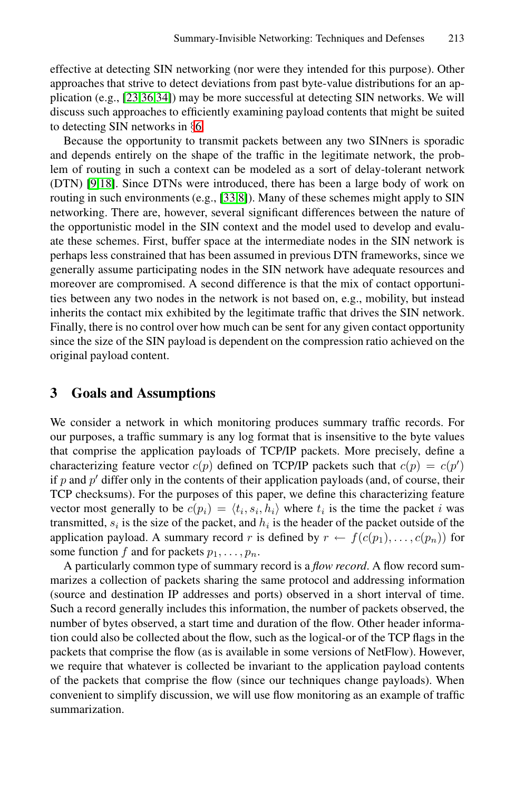effective at detecting SIN networking (nor were they intended for this purpose). Other approaches tha[t st](#page-14-12)[riv](#page-13-3)e to detect deviations from past byte-value distributions for an application (e.g., [23,36,34]) may be more successful at detecting SIN networks. We will discuss such approaches to efficiently examining payload contents that might be suited to detecting SIN networks in §6.

Because the opportunity to transmit packets between any two SINners is sporadic and depends entirely on the shape of the traffic in the legitimate network, the problem of routing in such a context can be modeled as a sort of delay-tolerant network (DTN) [9,18]. Since DTNs were introduced, there has been a large body of work on routing in such environments (e.g., [33,8]). Many of these schemes might apply to SIN networking. There are, however, several significant differences between the nature of the opportunistic model in the SIN context and the model used to develop and evaluate these schemes. First, buffer space at the intermediate nodes in the SIN network is perhaps less constrained that has been assumed in previous DTN frameworks, since we generally assume participating nodes in the SIN network have adequate resources and moreover are compromised. A second difference is that the mix of contact opportunities between any two nodes in the network is not based on, e.g., mobility, but instead inherits the contact mix exhibited by the legitimate traffic that drives the SIN network. Finally, there is no control over how much can be sent for any given contact opportunity since the size of the SIN payload is dependent on the compression ratio achieved on the original payload content.

## **3 Goals and Assumptions**

We consider a network in which monitoring produces summary traffic records. For our purposes, a traffic summary is any log format that is insensitive to the byte values that comprise the application payloads of TCP/IP packets. More precisely, define a characterizing feature vector  $c(p)$  defined on TCP/IP packets such that  $c(p) = c(p')$ if p and  $p'$  differ only in the contents of their application payloads (and, of course, their TCP checksums). For the purposes of this paper, we define this characterizing feature vector most generally to be  $c(p_i) = \langle t_i, s_i, h_i \rangle$  where  $t_i$  is the time the packet i was transmitted, s*<sup>i</sup>* is the size of the packet, and h*<sup>i</sup>* is the header of the packet outside of the application payload. A summary record r is defined by  $r \leftarrow f(c(p_1), \ldots, c(p_n))$  for some function f and for packets  $p_1, \ldots, p_n$ .

A particularly common type of summary record is a *flow record*. A flow record summarizes a collection of packets sharing the same protocol and addressing information (source and destination IP addresses and ports) observed in a short interval of time. Such a record generally includes this information, the number of packets observed, the number of bytes observed, a start time and duration of the flow. Other header information could also be collected about the flow, such as the logical-or of the TCP flags in the packets that comprise the flow (as is available in some versions of NetFlow). However, we require that whatever is collected be invariant to the application payload contents of the packets that comprise the flow (since our techniques change payloads). When convenient to simplify discussion, we will use flow monitoring as an example of traffic summarization.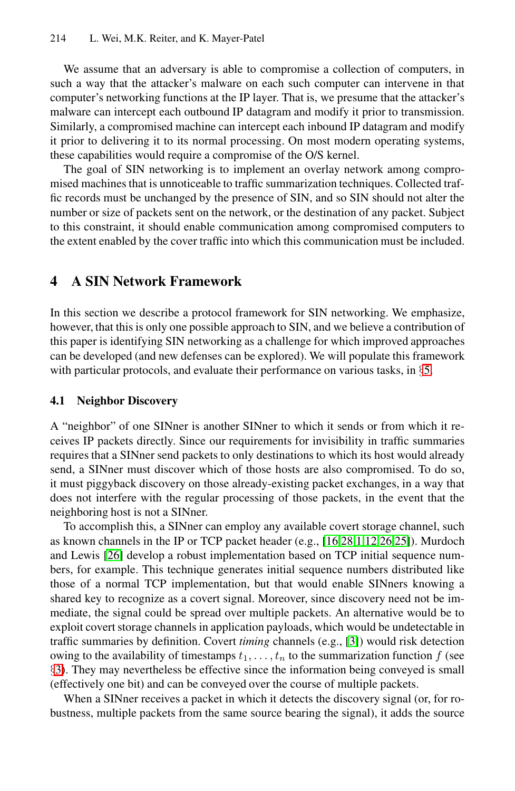We assume that an adversary is able to compromise a collection of computers, in such a way that the attacker's malware on each such computer can intervene in that computer's networking functions at the IP layer. That is, we presume that the attacker's malware can intercept each outbound IP datagram and modify it prior to transmission. Similarly, a compromised machine can intercept each inbound IP datagram and modify it prior to delivering it to its normal processing. On most modern operating systems, these capabilities would require a compromise of the O/S kernel.

<span id="page-4-1"></span>The goal of SIN networking is to implement an overlay network among compromised machines that is unnoticeable to traffic summarization techniques. Collected traffic records must be unchanged by the presence of SIN, and so SIN should not alter the number or size of packets sent on the network, or the destination of any packet. Subject to this constraint, it should enable communication among compromised computers to the extent enabled by the cover traffic into which this communication must be included.

# <span id="page-4-0"></span>**4 A SIN Network Framework**

In this section we describe a protocol framework for SIN networking. We emphasize, however, that this is only one possible approach to SIN, and we believe a contribution of this paper is identifying SIN networking as a challenge for which improved approaches can be developed (and new defenses can be explored). We will populate this framework with particular protocols, and evaluate their performance on various tasks, in  $\S$ 5.

### **4.1 Neighbor Discovery**

A "neighbor" of one SINner is anot[her](#page-14-13) [SI](#page-14-14)[N](#page-13-4)[ner](#page-14-15) [to](#page-14-16) [wh](#page-14-17)ich it sends or from which it receives IP packets directly. Since our requirements for invisibility in traffic summaries requires that a SINner send packets to only destinations to which its host would already send, a SINner must discover which of those hosts are also compromised. To do so, it must piggyback discovery on those already-existing packet exchanges, in a way that does not interfere with the regular processing of those packets, in the event that the neighboring host is not a SINner.

To accomplish this, a SINner can empl[oy](#page-13-5) any available covert storage channel, such as known channels in the IP or TCP packet header (e.g., [16,28,1,12,26,25]). Murdoch and Lewis [26] develop a robust implementation based on TCP initial sequence numbers, for example. This technique generates initial sequence numbers distributed like those of a normal TCP implementation, but that would enable SINners knowing a shared key to recognize as a covert signal. Moreover, since discovery need not be immediate, the signal could be spread over multiple packets. An alternative would be to exploit covert storage channels in application payloads, which would be undetectable in traffic summaries by definition. Covert *timing* channels (e.g., [3]) would risk detection owing to the availability of timestamps  $t_1, \ldots, t_n$  to the summarization function f (see §3). They may nevertheless be effective since the information being conveyed is small (effectively one bit) and can be conveyed over the course of multiple packets.

When a SINner receives a packet in which it detects the discovery signal (or, for robustness, multiple packets from the same source bearing the signal), it adds the source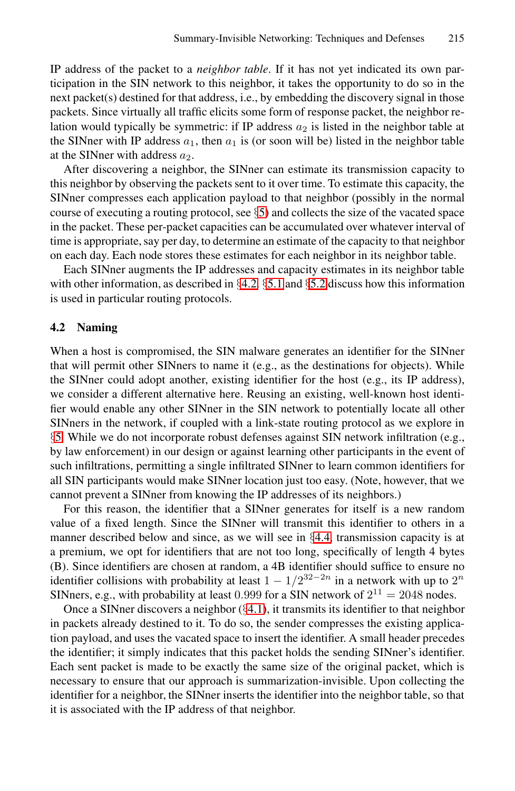IP address of the packet to a *neighbor table*. If it has not yet indicated its own participation in the SIN network to this neighbor, it takes the opportunity to do so in the next packet(s) destine[d fo](#page-8-0)r that address, i.e., by embedding the discovery signal in those packets. Since virtually all traffic elicits some form of response packet, the neighbor relation would typically be symmetric: if IP address  $a_2$  is listed in the neighbor table at the SINner with IP address  $a_1$ , then  $a_1$  is (or soon will be) listed in the neighbor table at the SINner with address  $a_2$ .

<span id="page-5-0"></span>After discoveri[ng a](#page-5-0) [neigh](#page-8-1)bor, [the](#page-9-0) SINner can estimate its transmission capacity to this neighbor by observing the packets sent to it over time. To estimate this capacity, the SINner compresses each application payload to that neighbor (possibly in the normal course of executing a routing protocol, see  $\S5$ ) and collects the size of the vacated space in the packet. These per-packet capacities can be accumulated over whatever interval of time is appropriate, say per day, to determine an estimate of the capacity to that neighbor on each day. Each node stores these estimates for each neighbor in its neighbor table.

Each SINner augments the IP addresses and capacity estimates in its neighbor table with other information, as described in §4.2. §5.1 and §5.2 discuss how this information is used in particular routing protocols.

### **4.2 Naming**

When a host is compromised, the SIN malware generates an identifier for the SINner that will permit other SINners to name it (e.g., as the destinations for objects). While the SINner could adopt another, existing identifier for the host (e.g., its IP address), we consider a different alternative here. Reusing an existing, well-known host identifier would enable any other SINner in the SIN network to potentially locate all other SINners in the network, if couple[d wi](#page-6-0)th a link-state routing protocol as we explore in §5. While we do not incorporate robust defenses against SIN network infiltration (e.g., by law enforcement) in our design or against learning other participants in the event of such infiltrations, permitting a single infiltrated SINner to learn common identifiers for all SIN participants would make SINner location just too easy. (Note, however, that we cannot prevent a SI[Nner](#page-4-0) from knowing the IP addresses of its neighbors.)

For this reason, the identifier that a SINner generates for itself is a new random value of a fixed length. Since the SINner will transmit this identifier to others in a manner described below and since, as we will see in §4.4, transmission capacity is at a premium, we opt for identifiers that are not too long, specifically of length 4 bytes (B). Since identifiers are chosen at random, a 4B identifier should suffice to ensure no identifier collisions with probability at least  $1 - 1/2^{32-2n}$  in a network with up to  $2^n$ SINners, e.g., with probability at least 0.999 for a SIN network of  $2^{11} = 2048$  nodes.

Once a SINner discovers a neighbor  $(\S4.1)$ , it transmits its identifier to that neighbor in packets already destined to it. To do so, the sender compresses the existing application payload, and uses the vacated space to insert the identifier. A small header precedes the identifier; it simply indicates that this packet holds the sending SINner's identifier. Each sent packet is made to be exactly the same size of the original packet, which is necessary to ensure that our approach is summarization-invisible. Upon collecting the identifier for a neighbor, the SINner inserts the identifier into the neighbor table, so that it is associated with the IP address of that neighbor.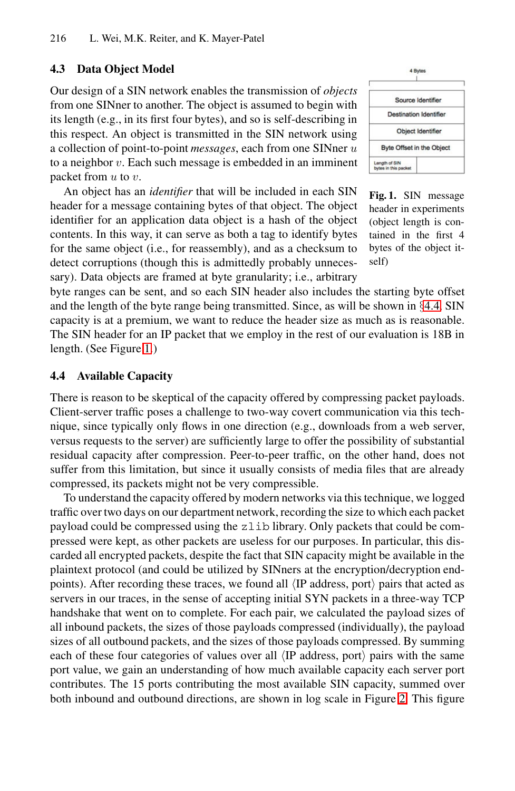#### **4.3 Data Object Model**

Our design of a SIN network enables the transmission of *objects* from one SINner to another. The object is assumed to begin with its length (e.g., in its first four bytes), and so is self-describing in this respect. An object is transmitted in the SIN network using a collection of point-to-point *messages*, each from one SINner u to a neighbor  $v$ . Each such message is embedded in an imminent packet from  $u$  to  $v$ .

An object has an *identifier* that will be included in ea[ch S](#page-6-0)IN header for a message containing bytes of that object. The object identifier for an application data object is a hash of the object [c](#page-6-1)ontents. In this way, it can serve as both a tag to identify bytes for the same object (i.e., for reassembly), and as a checksum to detect corruptions (though this is admittedly probably unnecessary). Data objects are framed at byte granularity; i.e., arbitrary

<span id="page-6-1"></span>

**Fig. 1.** SIN message header in experiments (object length is contained in the first 4 bytes of the object itself)

<span id="page-6-0"></span>byte ranges can be sent, and so each SIN header also includes the starting byte offset and the length of the byte range being transmitted. Since, as will be shown in §4.4, SIN capacity is at a premium, we want to reduce the header size as much as is reasonable. The SIN header for an IP packet that we employ in the rest of our evaluation is 18B in length. (See Figure 1.)

### **4.4 Available Capacity**

There is reason to be skeptical of the capacity offered by compressing packet payloads. Client-server traffic poses a challenge to two-way covert communication via this technique, since typically only flows in one direction (e.g., downloads from a web server, versus requests to the server) are sufficiently large to offer the possibility of substantial residual capacity after compression. Peer-to-peer traffic, on the other hand, does not suffer from this limitation, but since it usually consists of media files that are already compressed, its packets might not be very compressible.

To understand the capacity offered by modern networks via this technique, we logged traffic over two days on our department network, recording the size to which each packet payload could be compressed using the zlib library. Only packets that could be compressed were kept, as other packets are useless for our purposes. In particular, this discarded all encrypted packets, despite the fact that SIN capacity might be available in the plaintext protocol (and could be utilized by SINners at the encryption/decryption endpoints). After recording these traces, we found all  $\langle \text{IP} \text{ address}, \text{port} \rangle$  $\langle \text{IP} \text{ address}, \text{port} \rangle$  $\langle \text{IP} \text{ address}, \text{port} \rangle$  pairs that acted as servers in our traces, in the sense of accepting initial SYN packets in a three-way TCP handshake that went on to complete. For each pair, we calculated the payload sizes of all inbound packets, the sizes of those payloads compressed (individually), the payload sizes of all outbound packets, and the sizes of those payloads compressed. By summing each of these four categories of values over all  $\langle$ IP address, port $\rangle$  pairs with the same port value, we gain an understanding of how much available capacity each server port contributes. The 15 ports contributing the most available SIN capacity, summed over both inbound and outbound directions, are shown in log scale in Figure 2. This figure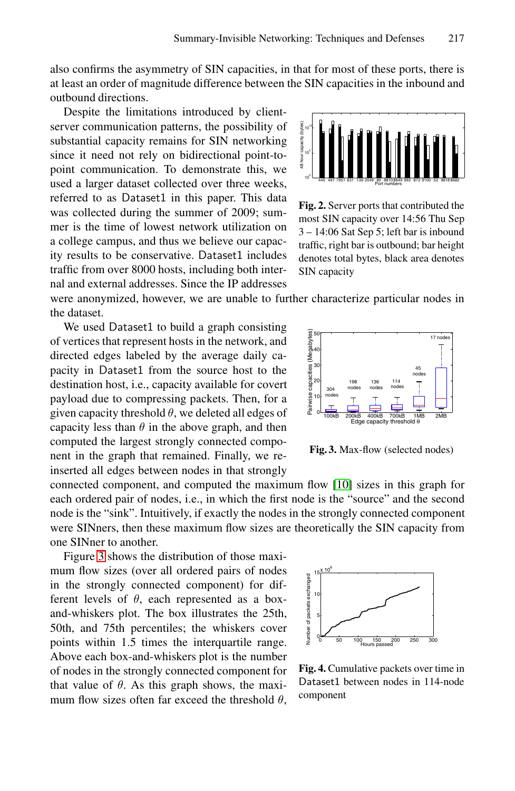also confirms the asymmetry of SIN capacities, in that for most of these ports, there is at least an order of magnitude difference between the SIN capacities in the inbound and outbound directions.

Despite the limitations introduced by clientserver communication patterns, the possibility of substantial capacity remains for SIN networking since it need not rely on bidirectional point-topoint communication. To demonstrate this, we used a larger dataset collected over three weeks, referred to as Dataset1 in this paper. This data was collected during the summer of 2009; summer is the time of lowest network utilization on a college campus, and thus we believe our capacity results to be conservative. Dataset1 includes traffic from over 8000 hosts, including both internal and external addresses. Since the IP addresses

<span id="page-7-0"></span>

**Fig. 2.** Server ports that contributed the most SIN capacity over 14:56 Thu Sep 3 – 14:06 Sat Sep 5; left bar is inbound traffic, right bar is outbound; bar height denotes total bytes, black area denotes SIN capacity

were anonymized, however, we are unable to further characterize particular nodes in the dataset.

We used Dataset1 to build a graph consisting of vertices that represent hosts in the network, and directed edges labeled by the average daily capacity in Dataset1 from the source [host](#page-13-6) to the destination host, i.e., capacity available for covert payload due to compressing packets. Then, for a given capacity threshold  $\theta$ , we deleted all edges of capacity less than  $\theta$  in the above graph, and then computed the largest strongly connected component in the graph that remained. Finally, we reinserted all edges between nodes in that strongly

connected component, and computed the maximum flow [10] sizes in this graph for each ordered pair of nodes, i.e., in which the first node is the "source" and the second node is the "sink". Intuitively, if exactly the nodes in the strongly connected component were SINners, then these maximum flow sizes are theoretically the SIN capacity from one SINner to another.

Figure 3 shows the distribution of those maximum flow sizes (over all ordered pairs of nodes in the strongly connected component) for different levels of  $\theta$ , each represented as a boxand-whiskers plot. The box illustrates the 25th, 50th, and 75th percentiles; the whiskers cover points within 1.5 times the interquartile range. Above each box-and-whiskers plot is the number of nodes in the strongly connected component for that value of  $\theta$ . As this graph shows, the maximum flow sizes often far exceed the threshold  $\theta$ .

<span id="page-7-2"></span>

**Fig. 3.** Max-flow (selected nodes)

<span id="page-7-1"></span>

**Fig. 4.** Cumulative packets over time in Dataset1 between nodes in 114-node component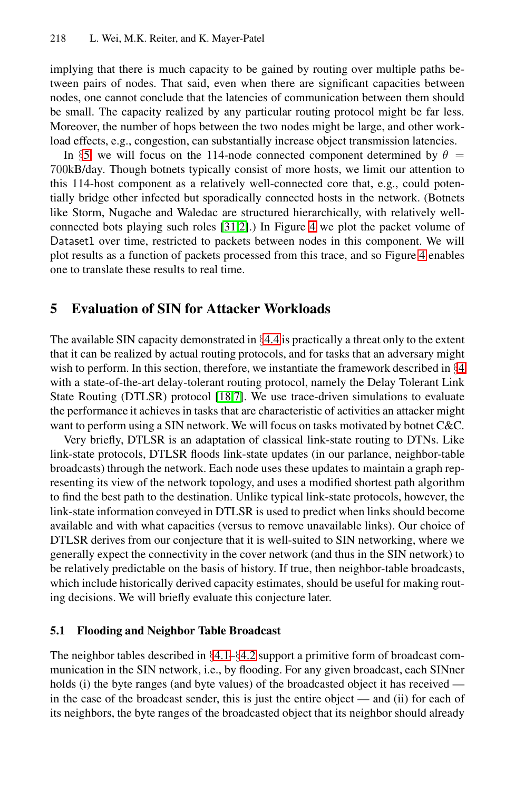implying that there is much capacity to be gained by routing over multiple paths between pairs of nodes. That said, even when there are significant capacities between nodes, one cannot conclude that the latencies of communication between them should be small. The [cap](#page-14-18)[ac](#page-13-7)ity realized [by](#page-7-1) any particular routing protocol might be far less. Moreover, the number of hops between the two nodes might be large, and other workload effects, e.g., congestion, can substantially increase [ob](#page-7-1)ject transmission latencies.

<span id="page-8-0"></span>In §5, we will focus on the 114-node connected component determined by  $\theta =$ 700kB/day. Though botnets typically consist of more hosts, we limit our attention to this 114-host component as a relatively well-connected core that, e.g., could potentially bridge other infected but sporadically connected hosts in the network. (Botnets like Storm, Nugache and Waledac are structured hierarchically, with relatively wellconnected bots playing [suc](#page-6-0)h roles [31,2].) In Figure 4 we plot the packet volume of Dataset1 over time, restricted to packets between nodes in this component. We will plot results as a function of packets processed from this trace, a[nd](#page-4-1) so Figure 4 enables one to translate these results to real time.

# **5 Evaluation of SIN for Attacker Workloads**

The available SIN capacity demonstrated in §4.4 is practically a threat only to the extent that it can be realized by actual routing protocols, and for tasks that an adversary might wish to perform. In this section, therefore, we instantiate the framework described in §4 with a state-of-the-art delay-tolerant routing protocol, namely the Delay Tolerant Link State Routing (DTLSR) protocol [18,7]. We use trace-driven simulations to evaluate the performance it achieves in tasks that are characteristic of activities an attacker might want to perform using a SIN network. We will focus on tasks motivated by botnet C&C.

<span id="page-8-1"></span>Very briefly, DTLSR is an adaptation of classical link-state routing to DTNs. Like link-state protocols, DTLSR floods link-state updates (in our parlance, neighbor-table broadcasts) through the network. Each node uses these updates to maintain a graph representing its view of the network topology, and uses a modified shortest path algorithm to find the best path to the destination. Unlike typical link-state protocols, however, the link-state information conveyed in DTLSR is used to predict when links should become available and with what capacities (versus to remove unavailable links). Our choice of DTLSR deri[ves f](#page-4-0)r[om o](#page-5-0)ur conjecture that it is well-suited to SIN networking, where we generally expect the connectivity in the cover network (and thus in the SIN network) to be relatively predictable on the basis of history. If true, then neighbor-table broadcasts, which include historically derived capacity estimates, should be useful for making routing decisions. We will briefly evaluate this conjecture later.

## **5.1 Flooding and Neighbor Table Broadcast**

The neighbor tables described in §4.1–§4.2 support a primitive form of broadcast communication in the SIN network, i.e., by flooding. For any given broadcast, each SINner holds (i) the byte ranges (and byte values) of the broadcasted object it has received – in the case of the broadcast sender, this is just the entire object — and (ii) for each of its neighbors, the byte ranges of the broadcasted object that its neighbor should already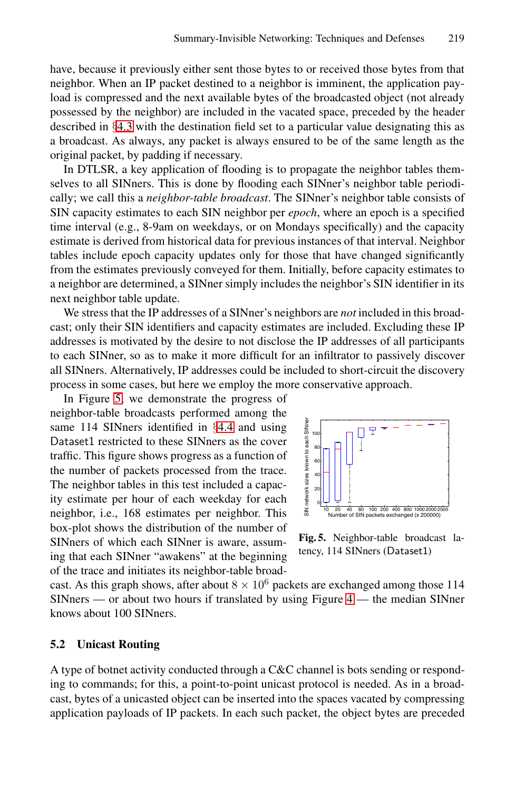have, because it previously either sent those bytes to or received those bytes from that neighbor. When an IP packet destined to a neighbor is imminent, the application payload is compressed and the next available bytes of the broadcasted object (not already possessed by the neighbor) are included in the vacated space, preceded by the header described in §4.3 with the destination field set to a particular value designating this as a broadcast. As always, any packet is always ensured to be of the same length as the original packet, by padding if necessary.

In DTLSR, a key application of flooding is to propagate the neighbor tables themselves to all SINners. This is done by flooding each SINner's neighbor table periodically; we call this a *neighbor-table broadcast*. The SINner's neighbor table consists of SIN capacity estimates to each SIN neighbor per *epoch*, where an epoch is a specified time interval (e.g., 8-9am on weekdays, or on Mondays specifically) and the capacity estimate is derived from historical data for previous instances of that interval. Neighbor tables include epoch capacity updates only for those that have changed significantly from the estimates previously conveyed for them. Initially, before capacity estimates to a neighbor are determined, a SINner simply includes the neighbor's SIN identifier in its next neighbor table update.

We stress t[hat th](#page-6-0)e IP addresses of a SINner's neighbors are *not* included in this broadcast; only their SIN identifiers and capacity estimates are included. Excluding these IP addresses is motivated by the desire to not disclose the IP addresses of all participants to each SINner, so as to make it more difficult for an infiltrator to passively discover all SINners. Alternatively, IP addresses could be included to short-circuit the discovery process in some cases, but here we employ the more conservative approach.

In Figure 5, we demonstrate the progress of neighbor-table broadcasts performed among the same 114 SINners identified in §4.4 and using Dataset1 restricted to these SINners as the cover traffic. This figure shows progress as a function of the number of packets processed from the trace. The neighbor tables in this test included [a c](#page-7-1)apacity estimate per hour of each weekday for each neighbor, i.e., 168 estimates per neighbor. This box-plot shows the distribution of the number of SINners of which each SINner is aware, assuming that each SINner "awakens" at the beginning of the trace and initiates its neighbor-table broad-



**Fig. 5.** Neighbor-table broadcast latency, 114 SINners (Dataset1)

<span id="page-9-0"></span>cast. As this graph shows, after about  $8 \times 10^6$  packets are exchanged among those 114 SINners — or about two hours if translated by using Figure 4 — the median SINner knows about 100 SINners.

#### **5.2 Unicast Routing**

A type of botnet activity conducted through a C&C channel is bots sending or responding to commands; for this, a point-to-point unicast protocol is needed. As in a broadcast, bytes of a unicasted object can be inserted into the spaces vacated by compressing application payloads of IP packets. In each such packet, the object bytes are preceded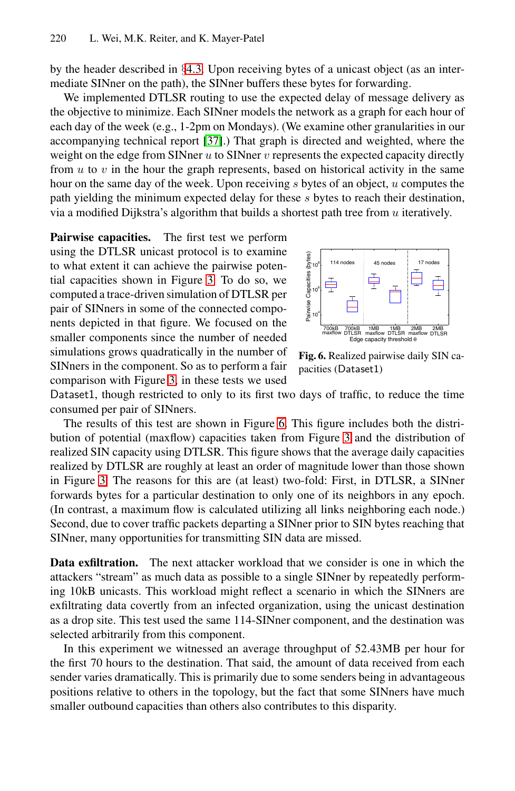by the header described in §4.3. Upon receiving bytes of a unicast object (as an intermediate SINner on the path), the SINner buffers these bytes for forwarding.

We implemented DTLSR routing to use the expected delay of message delivery as the objective to minimize. Each SINner models the network as a graph for each hour of each day of the week (e.g., 1-2pm on Mondays). (We examine other granularities in our accompanying technical report [37].) That graph is directed and weighted, where the weight on the edge from SINner  $u$  to SINner  $v$  represents the expected capacity directly from  $u$  to  $v$  [in](#page-7-2) the hour the graph represents, based on historical activity in the same hour on the same day of the week. Upon receiving s bytes of an object, u computes the path yielding the minimum expected delay for these s bytes to reach their destination, via a modified Dijkstra's algorithm that builds a shortest path tree from  $u$  iteratively.

**Pairwise capacities.** The first test we perform using the DTLSR unicast protocol is to examine to [wh](#page-7-2)at extent it can achieve the pairwise potential capacities shown in Figure 3. To do so, we computed a trace-driven simulation of DTLSR per pair of SINners in some of [th](#page-10-0)e connected components depicted in that figure. We focus[ed](#page-7-2) on the smaller components since the number of needed simulations grows quadratically in the number of SINners in the component. So as to perform a fair comparison with Figure 3, in these tests we used

<span id="page-10-0"></span>

**Fig. 6.** Realized pairwise daily SIN capacities (Dataset1)

Dataset1, though restricted to only to its first two days of traffic, to reduce the time consumed per pair of SINners.

The results of this test are shown in Figure 6. This figure includes both the distribution of potential (maxflow) capacities taken from Figure 3 and the distribution of realized SIN capacity using DTLSR. This figure shows that the average daily capacities realized by DTLSR are roughly at least an order of magnitude lower than those shown in Figure 3. The reasons for this are (at least) two-fold: First, in DTLSR, a SINner forwards bytes for a particular destination to only one of its neighbors in any epoch. (In contrast, a maximum flow is calculated utilizing all links neighboring each node.) Second, due to cover traffic packets departing a SINner prior to SIN bytes reaching that SINner, many opportunities for transmitting SIN data are missed.

**Data exfiltration.** The next attacker workload that we consider is one in which the attackers "stream" as much data as possible to a single SINner by repeatedly performing 10kB unicasts. This workload might reflect a scenario in which the SINners are exfiltrating data covertly from an infected organization, using the unicast destination as a drop site. This test used the same 114-SINner component, and the destination was selected arbitrarily from this component.

In this experiment we witnessed an average throughput of 52.43MB per hour for the first 70 hours to the destination. That said, the amount of data received from each sender varies dramatically. This is primarily due to some senders being in advantageous positions relative to others in the topology, but the fact that some SINners have much smaller outbound capacities than others also contributes to this disparity.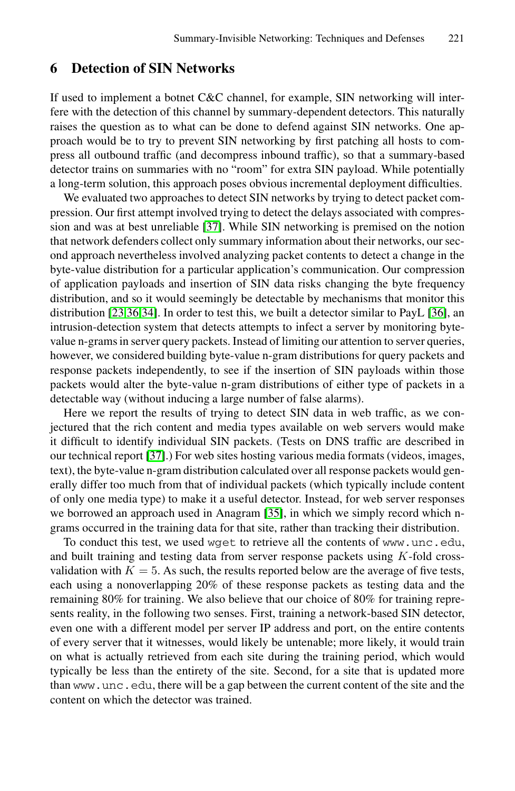## **6 Detection of SIN Networks**

If used to implement a botnet C&C channel, for example, SIN networking will interfere with th[e de](#page-15-4)tection of this channel by summary-dependent detectors. This naturally raises the question as to what can be done to defend against SIN networks. One approach would be to try to prevent SIN networking by first patching all hosts to compress all outbound traffic (and decompress inbound traffic), so that a summary-based detector trains on summaries with no "room" for extra SIN payload. While potentially a long-term solution, this approach poses obvious incremental deployment difficulties.

We evaluated two approaches to detect SIN networks by [tryi](#page-15-3)ng to detect packet com[p](#page-14-9)ression. Our first attempt involved trying to detect the delays associated with compression and was at best unreliable [37]. While SIN networking is premised on the notion that network defenders collect only summary information about their networks, our second approach nevertheless involved analyzing packet contents to detect a change in the byte-value distribution for a particular application's communication. Our compression of application payloads and insertion of SIN data risks changing the byte frequency distribution, and so it would seemingly be detectable by mechanisms that monitor this distribution [23,36,34]. In order to test this, we built a detector similar to PayL [36], an intrusion-detection system that detects attempts to infect a server by monitoring byte[val](#page-15-4)ue n-grams in server query packets. Instead of limiting our attention to server queries, however, we considered building byte-value n-gram distributions for query packets and response packets independently, to see if the insertion of SIN payloads within those packets would alter the byte-value n-gram distributions of either type of packets in a detectable way (without [ind](#page-15-5)ucing a large number of false alarms).

Here we report the results of trying to detect SIN data in web traffic, as we conjectured that the rich content and media types available on web servers would make it difficult to identify individual SIN packets. (Tests on DNS traffic are described in our technical report [37].) For web sites hosting various media formats (videos, images, text), the byte-value n-gram distribution calculated over all response packets would generally differ too much from that of individual packets (which typically include content of only one media type) to make it a useful detector. Instead, for web server responses we borrowed an approach used in Anagram [35], in which we simply record which ngrams occurred in the training data for that site, rather than tracking their distribution.

To conduct this test, we used wget to retrieve all the contents of www.unc.edu, and built training and testing data from server response packets using  $K$ -fold crossvalidation with  $K = 5$ . As such, the results reported below are the average of five tests, each using a nonoverlapping 20% of these response packets as testing data and the remaining 80% for training. We also believe that our choice of 80% for training represents reality, in the following two senses. First, training a network-based SIN detector, even one with a different model per server IP address and port, on the entire contents of every server that it witnesses, would likely be untenable; more likely, it would train on what is actually retrieved from each site during the training period, which would typically be less than the entirety of the site. Second, for a site that is updated more than www.unc.edu, there will be a gap between the current content of the site and the content on which the detector was trained.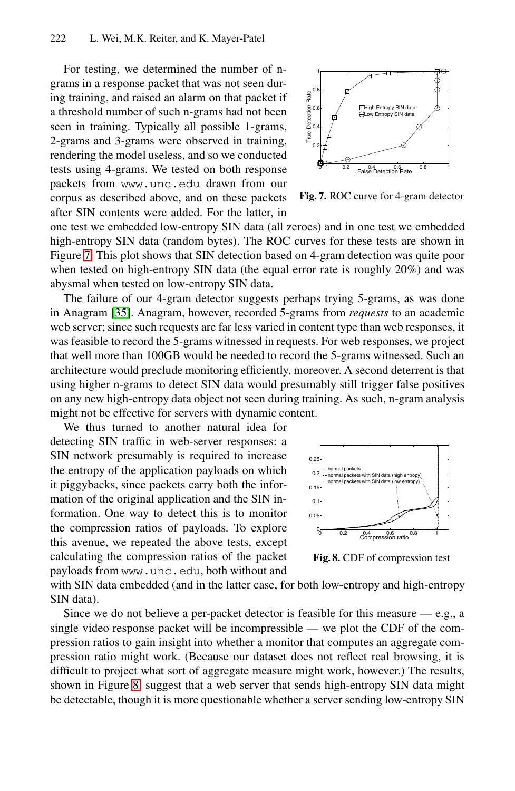For testing, we determined the number of ngrams in a response packet that was not seen during training, and raised an alarm on that packet if a threshold number of such n-grams had not been seen in training. Typically all possible 1-grams, 2-grams and 3-grams were observed in training, rendering the model useless, and so we conducted tests using 4-grams. We tested on both response packets from www.unc.edu drawn from our corpus as described above, and on these packets after SIN contents were added. For the latter, in



**Fig. 7.** ROC curve for 4-gram detector

one test we embedded low-entropy SIN data (all zeroes) and in one test we embedded high-entropy SIN data (random bytes). The ROC curves for these tests are shown in Figure 7. This plot shows that SIN detection based on 4-gram detection was quite poor when tested on high-entropy SIN data (the equal error rate is roughly 20%) and was abysmal when tested on low-entropy SIN data.

The failure of our 4-gram detector suggests perhaps trying 5-grams, as was done in Anagram [35]. Anagram, however, recorded 5-grams from *requests* to an academic web server; since such requests are far less varied in content type than web responses, it was feasible to record the 5-grams witnessed in requests. For web responses, we project that well more than 100GB would be needed to record the 5-grams witnessed. Such an architecture would preclude monitoring efficiently, moreover. A second deterrent is that using higher n-grams to detect SIN data would presumably still trigger false positives on any new high-entropy data object not seen during training. As such, n-gram analysis might not be effective for servers with dynamic content.

We thus turned to another natural idea for detecting SIN traffic in web-server responses: a SIN network presumably is required to increase the entropy of the application payloads on which it piggybacks, since packets carry both the information of the original application and the SIN information. One way to detect this is to monitor the compression ratios of payloads. To explore this avenue, we repeated the above tests, except calculating the compression ratios of the packet payloads from www.unc.edu, both without and



**Fig. 8.** CDF of compression test

with SIN data embedded (and in the latter case, for both low-entropy and high-entropy SIN data).

Since we do not believe a per-packet detector is feasible for this measure — e.g., a single video response packet will be incompressible — we plot the CDF of the compression ratios to gain insight into whether a monitor that computes an aggregate compression ratio might work. (Because our dataset does not reflect real browsing, it is difficult to project what sort of aggregate measure might work, however.) The results, shown in Figure 8, suggest that a web server that sends high-entropy SIN data might be detectable, though it is more questionable whether a server sending low-entropy SIN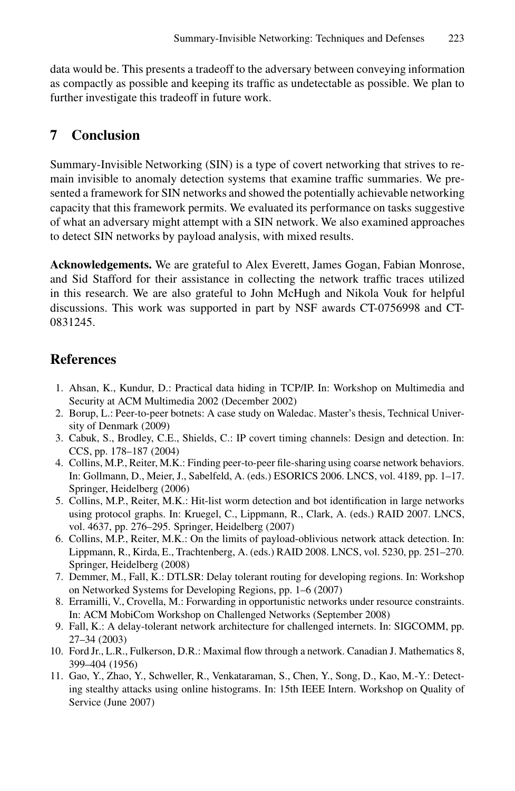data would be. This presents a tradeoff to the adversary between conveying information as compactly as possible and keeping its traffic as undetectable as possible. We plan to further investigate this tradeoff in future work.

# **7 Conclusion**

Summary-Invisible Networking (SIN) is a type of covert networking that strives to remain invisible to anomaly detection systems that examine traffic summaries. We presented a framework for SIN networks and showed the potentially achievable networking capacity that this framework permits. We evaluated its performance on tasks suggestive of what an adversary might attempt with a SIN network. We also examined approaches to detect SIN networks by payload analysis, with mixed results.

**Acknowledgements.** We are grateful to Alex Everett, James Gogan, Fabian Monrose, and Sid Stafford for their assistance in collecting the network traffic traces utilized in this research. We are also grateful to John McHugh and Nikola Vouk for helpful discussions. This work was supported in part by NSF awards CT-0756998 and CT-0831245.

# **References**

- <span id="page-13-4"></span>1. Ahsan, K., Kundur, D.: Practical data hiding in TCP/IP. In: Workshop on Multimedia and Security at ACM Multimedia 2002 (December 2002)
- <span id="page-13-7"></span>2. Borup, L.: Peer-to-peer botnets: A case study on Waledac. Master's thesis, Technical University of Denmark (2009)
- <span id="page-13-5"></span>3. Cabuk, S., Brodley, C.E., Shields, C.: IP covert timing channels: Design and detection. In: CCS, pp. 178–187 (2004)
- <span id="page-13-0"></span>4. Collins, M.P., Reiter, M.K.: Finding peer-to-peer file-sharing using coarse network behaviors. In: Gollmann, D., Meier, J., Sabelfeld, A. (eds.) ESORICS 2006. LNCS, vol. 4189, pp. 1–17. Springer, Heidelberg (2006)
- 5. Collins, M.P., Reiter, M.K.: Hit-list worm detection and bot identification in large networks using protocol graphs. In: Kruegel, C., Lippmann, R., Clark, A. (eds.) RAID 2007. LNCS, vol. 4637, pp. 276–295. Springer, Heidelberg (2007)
- <span id="page-13-2"></span>6. Collins, M.P., Reiter, M.K.: On the limits of payload-oblivious network attack detection. In: Lippmann, R., Kirda, E., Trachtenberg, A. (eds.) RAID 2008. LNCS, vol. 5230, pp. 251–270. Springer, Heidelberg (2008)
- 7. Demmer, M., Fall, K.: DTLSR: Delay tolerant routing for developing regions. In: Workshop on Networked Systems for Developing Regions, pp. 1–6 (2007)
- <span id="page-13-3"></span>8. Erramilli, V., Crovella, M.: Forwarding in opportunistic networks under resource constraints. In: ACM MobiCom Workshop on Challenged Networks (September 2008)
- <span id="page-13-1"></span>9. Fall, K.: A delay-tolerant network architecture for challenged internets. In: SIGCOMM, pp. 27–34 (2003)
- <span id="page-13-6"></span>10. Ford Jr., L.R., Fulkerson, D.R.: Maximal flow through a network. Canadian J. Mathematics 8, 399–404 (1956)
- 11. Gao, Y., Zhao, Y., Schweller, R., Venkataraman, S., Chen, Y., Song, D., Kao, M.-Y.: Detecting stealthy attacks using online histograms. In: 15th IEEE Intern. Workshop on Quality of Service (June 2007)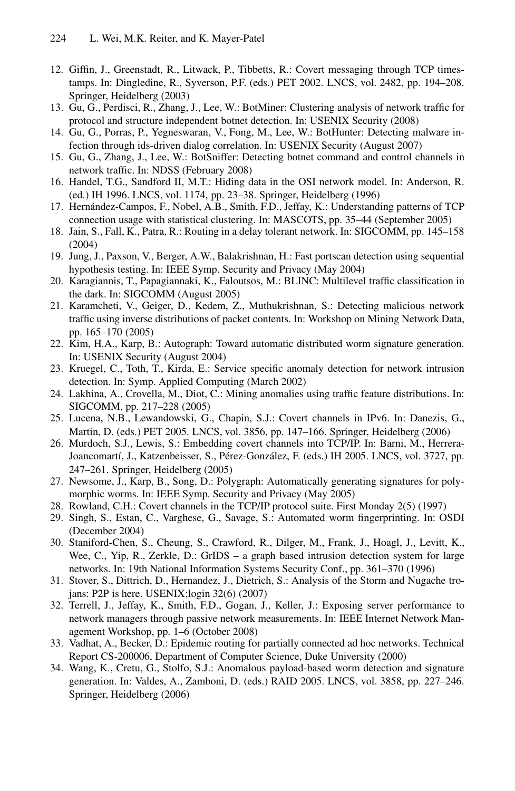- <span id="page-14-15"></span>12. Giffin, J., Greenstadt, R., Litwack, P., Tibbetts, R.: Covert messaging through TCP timestamps. In: Dingledine, R., Syverson, P.F. (eds.) PET 2002. LNCS, vol. 2482, pp. 194–208. Springer, Heidelberg (2003)
- <span id="page-14-3"></span>13. Gu, G., Perdisci, R., Zhang, J., Lee, W.: BotMiner: Clustering analysis of network traffic for protocol and structure independent botnet detection. In: USENIX Security (2008)
- <span id="page-14-4"></span>14. Gu, G., Porras, P., Yegneswaran, V., Fong, M., Lee, W.: BotHunter: Detecting malware infection through ids-driven dialog correlation. In: USENIX Security (August 2007)
- <span id="page-14-2"></span>15. Gu, G., Zhang, J., Lee, W.: BotSniffer: Detecting botnet command and control channels in network traffic. In: NDSS (February 2008)
- <span id="page-14-13"></span>16. Handel, T.G., Sandford II, M.T.: Hiding data in the OSI network model. In: Anderson, R. (ed.) IH 1996. LNCS, vol. 1174, pp. 23–38. Springer, Heidelberg (1996)
- <span id="page-14-0"></span>17. Hernández-Campos, F., Nobel, A.B., Smith, F.D., Jeffay, K.: Understanding patterns of TCP connection usage with statistical clustering. In: MASCOTS, pp. 35–44 (September 2005)
- <span id="page-14-5"></span>18. Jain, S., Fall, K., Patra, R.: Routing in a delay tolerant network. In: SIGCOMM, pp. 145–158 (2004)
- 19. Jung, J., Paxson, V., Berger, A.W., Balakrishnan, H.: Fast portscan detection using sequential hypothesis testing. In: IEEE Symp. Security and Privacy (May 2004)
- <span id="page-14-1"></span>20. Karagiannis, T., Papagiannaki, K., Faloutsos, M.: BLINC: Multilevel traffic classification in the dark. In: SIGCOMM (August 2005)
- <span id="page-14-11"></span>21. Karamcheti, V., Geiger, D., Kedem, Z., Muthukrishnan, S.: Detecting malicious network traffic using inverse distributions of packet contents. In: Workshop on Mining Network Data, pp. 165–170 (2005)
- <span id="page-14-7"></span>22. Kim, H.A., Karp, B.: Autograph: Toward automatic distributed worm signature generation. In: USENIX Security (August 2004)
- <span id="page-14-6"></span>23. Kruegel, C., Toth, T., Kirda, E.: Service specific anomaly detection for network intrusion detection. In: Symp. Applied Computing (March 2002)
- 24. Lakhina, A., Crovella, M., Diot, C.: Mining anomalies using traffic feature distributions. In: SIGCOMM, pp. 217–228 (2005)
- <span id="page-14-17"></span>25. Lucena, N.B., Lewandowski, G., Chapin, S.J.: Covert channels in IPv6. In: Danezis, G., Martin, D. (eds.) PET 2005. LNCS, vol. 3856, pp. 147–166. Springer, Heidelberg (2006)
- <span id="page-14-16"></span>26. Murdoch, S.J., Lewis, S.: Embedding covert channels into TCP/IP. In: Barni, M., Herrera-Joancomartí, J., Katzenbeisser, S., Pérez-González, F. (eds.) IH 2005. LNCS, vol. 3727, pp. 247–261. Springer, Heidelberg (2005)
- <span id="page-14-10"></span>27. Newsome, J., Karp, B., Song, D.: Polygraph: Automatically generating signatures for polymorphic worms. In: IEEE Symp. Security and Privacy (May 2005)
- <span id="page-14-14"></span><span id="page-14-8"></span>28. Rowland, C.H.: Covert channels in the TCP/IP protocol suite. First Monday 2(5) (1997)
- 29. Singh, S., Estan, C., Varghese, G., Savage, S.: Automated worm fingerprinting. In: OSDI (December 2004)
- 30. Staniford-Chen, S., Cheung, S., Crawford, R., Dilger, M., Frank, J., Hoagl, J., Levitt, K., Wee, C., Yip, R., Zerkle, D.: GrIDS – a graph based intrusion detection system for large networks. In: 19th National Information Systems Security Conf., pp. 361–370 (1996)
- <span id="page-14-18"></span>31. Stover, S., Dittrich, D., Hernandez, J., Dietrich, S.: Analysis of the Storm and Nugache trojans: P2P is here. USENIX;login 32(6) (2007)
- 32. Terrell, J., Jeffay, K., Smith, F.D., Gogan, J., Keller, J.: Exposing server performance to network managers through passive network measurements. In: IEEE Internet Network Management Workshop, pp. 1–6 (October 2008)
- <span id="page-14-12"></span>33. Vadhat, A., Becker, D.: Epidemic routing for partially connected ad hoc networks. Technical Report CS-200006, Department of Computer Science, Duke University (2000)
- <span id="page-14-9"></span>34. Wang, K., Cretu, G., Stolfo, S.J.: Anomalous payload-based worm detection and signature generation. In: Valdes, A., Zamboni, D. (eds.) RAID 2005. LNCS, vol. 3858, pp. 227–246. Springer, Heidelberg (2006)